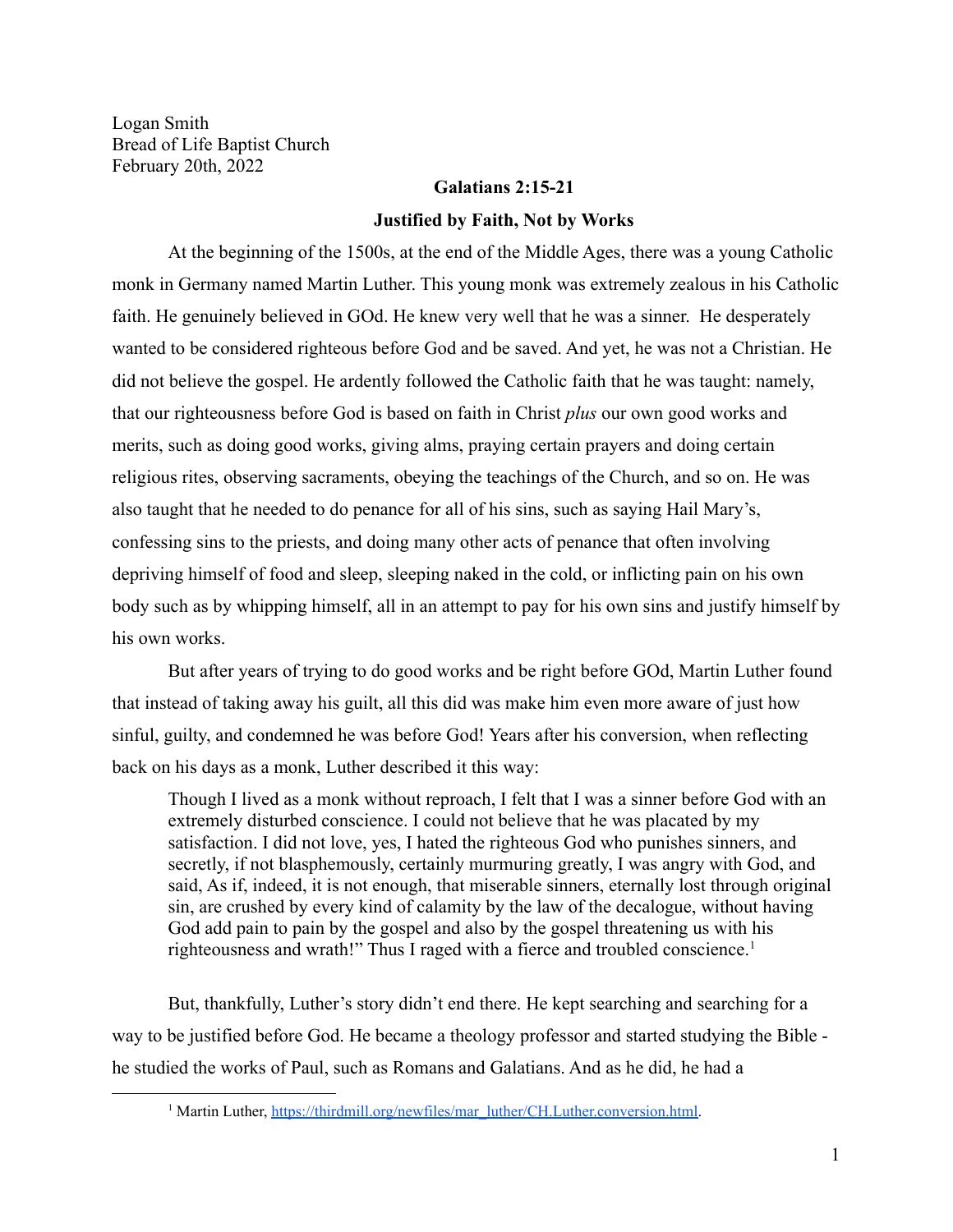Logan Smith Bread of Life Baptist Church February 20th, 2022

## **Galatians 2:15-21**

## **Justified by Faith, Not by Works**

At the beginning of the 1500s, at the end of the Middle Ages, there was a young Catholic monk in Germany named Martin Luther. This young monk was extremely zealous in his Catholic faith. He genuinely believed in GOd. He knew very well that he was a sinner. He desperately wanted to be considered righteous before God and be saved. And yet, he was not a Christian. He did not believe the gospel. He ardently followed the Catholic faith that he was taught: namely, that our righteousness before God is based on faith in Christ *plus* our own good works and merits, such as doing good works, giving alms, praying certain prayers and doing certain religious rites, observing sacraments, obeying the teachings of the Church, and so on. He was also taught that he needed to do penance for all of his sins, such as saying Hail Mary's, confessing sins to the priests, and doing many other acts of penance that often involving depriving himself of food and sleep, sleeping naked in the cold, or inflicting pain on his own body such as by whipping himself, all in an attempt to pay for his own sins and justify himself by his own works.

But after years of trying to do good works and be right before GOd, Martin Luther found that instead of taking away his guilt, all this did was make him even more aware of just how sinful, guilty, and condemned he was before God! Years after his conversion, when reflecting back on his days as a monk, Luther described it this way:

Though I lived as a monk without reproach, I felt that I was a sinner before God with an extremely disturbed conscience. I could not believe that he was placated by my satisfaction. I did not love, yes, I hated the righteous God who punishes sinners, and secretly, if not blasphemously, certainly murmuring greatly, I was angry with God, and said, As if, indeed, it is not enough, that miserable sinners, eternally lost through original sin, are crushed by every kind of calamity by the law of the decalogue, without having God add pain to pain by the gospel and also by the gospel threatening us with his righteousness and wrath!" Thus I raged with a fierce and troubled conscience.<sup>1</sup>

But, thankfully, Luther's story didn't end there. He kept searching and searching for a way to be justified before God. He became a theology professor and started studying the Bible he studied the works of Paul, such as Romans and Galatians. And as he did, he had a

<sup>&</sup>lt;sup>1</sup> Martin Luther, [https://thirdmill.org/newfiles/mar\\_luther/CH.Luther.conversion.html.](https://thirdmill.org/newfiles/mar_luther/CH.Luther.conversion.html)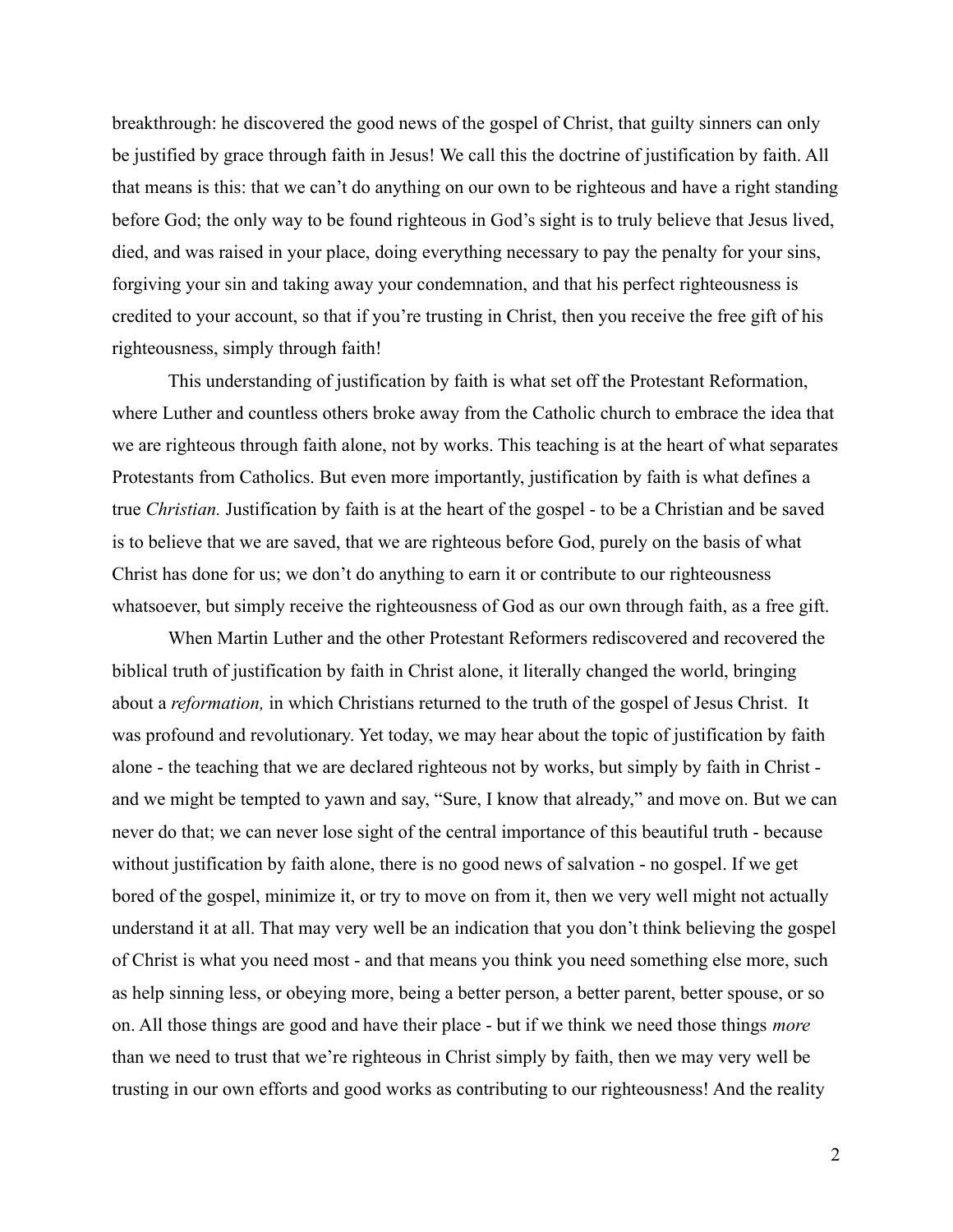breakthrough: he discovered the good news of the gospel of Christ, that guilty sinners can only be justified by grace through faith in Jesus! We call this the doctrine of justification by faith. All that means is this: that we can't do anything on our own to be righteous and have a right standing before God; the only way to be found righteous in God's sight is to truly believe that Jesus lived, died, and was raised in your place, doing everything necessary to pay the penalty for your sins, forgiving your sin and taking away your condemnation, and that his perfect righteousness is credited to your account, so that if you're trusting in Christ, then you receive the free gift of his righteousness, simply through faith!

This understanding of justification by faith is what set off the Protestant Reformation, where Luther and countless others broke away from the Catholic church to embrace the idea that we are righteous through faith alone, not by works. This teaching is at the heart of what separates Protestants from Catholics. But even more importantly, justification by faith is what defines a true *Christian.* Justification by faith is at the heart of the gospel - to be a Christian and be saved is to believe that we are saved, that we are righteous before God, purely on the basis of what Christ has done for us; we don't do anything to earn it or contribute to our righteousness whatsoever, but simply receive the righteousness of God as our own through faith, as a free gift.

When Martin Luther and the other Protestant Reformers rediscovered and recovered the biblical truth of justification by faith in Christ alone, it literally changed the world, bringing about a *reformation,* in which Christians returned to the truth of the gospel of Jesus Christ. It was profound and revolutionary. Yet today, we may hear about the topic of justification by faith alone - the teaching that we are declared righteous not by works, but simply by faith in Christ and we might be tempted to yawn and say, "Sure, I know that already," and move on. But we can never do that; we can never lose sight of the central importance of this beautiful truth - because without justification by faith alone, there is no good news of salvation - no gospel. If we get bored of the gospel, minimize it, or try to move on from it, then we very well might not actually understand it at all. That may very well be an indication that you don't think believing the gospel of Christ is what you need most - and that means you think you need something else more, such as help sinning less, or obeying more, being a better person, a better parent, better spouse, or so on. All those things are good and have their place - but if we think we need those things *more* than we need to trust that we're righteous in Christ simply by faith, then we may very well be trusting in our own efforts and good works as contributing to our righteousness! And the reality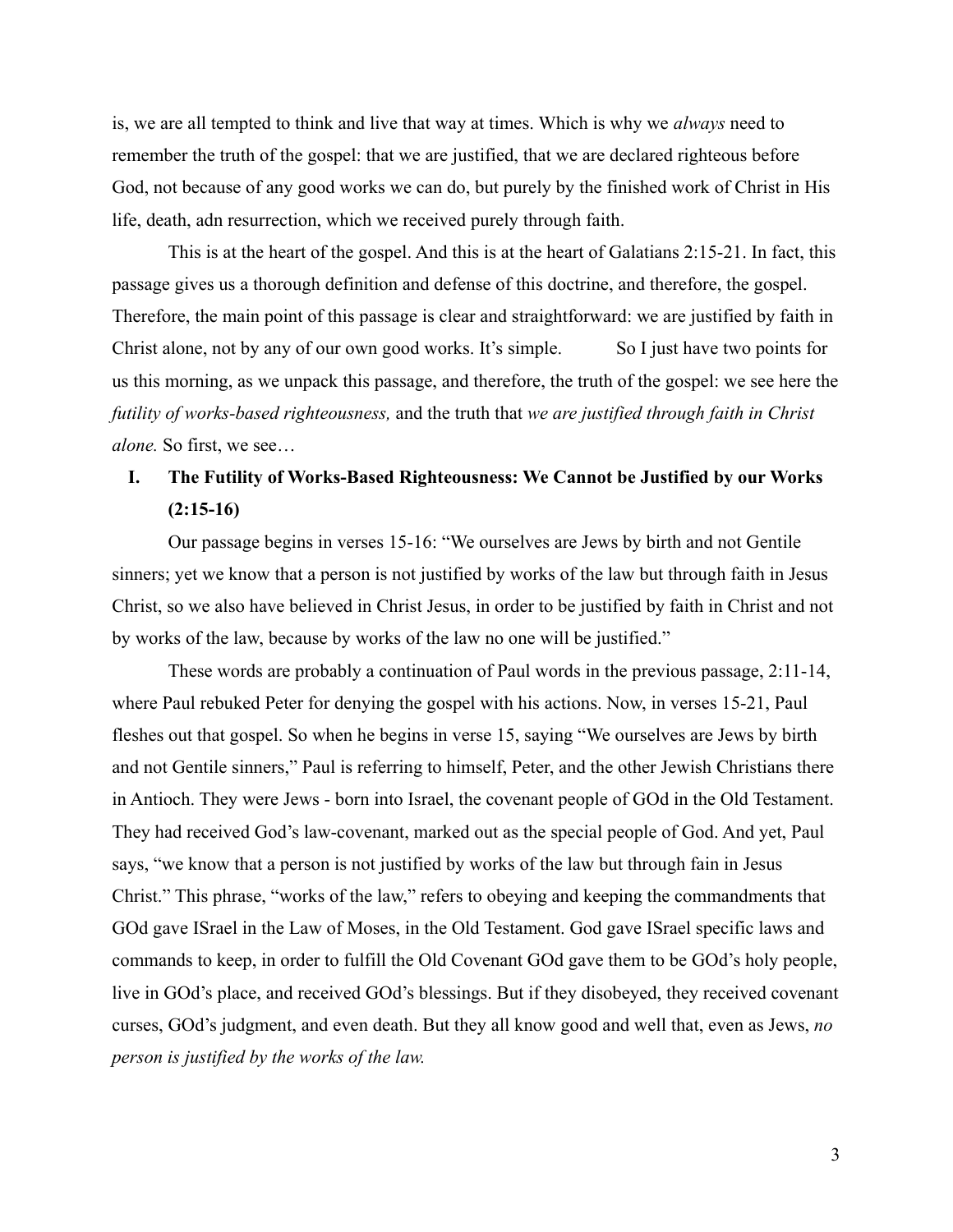is, we are all tempted to think and live that way at times. Which is why we *always* need to remember the truth of the gospel: that we are justified, that we are declared righteous before God, not because of any good works we can do, but purely by the finished work of Christ in His life, death, adn resurrection, which we received purely through faith.

This is at the heart of the gospel. And this is at the heart of Galatians 2:15-21. In fact, this passage gives us a thorough definition and defense of this doctrine, and therefore, the gospel. Therefore, the main point of this passage is clear and straightforward: we are justified by faith in Christ alone, not by any of our own good works. It's simple. So I just have two points for us this morning, as we unpack this passage, and therefore, the truth of the gospel: we see here the *futility of works-based righteousness,* and the truth that *we are justified through faith in Christ alone.* So first, we see…

## **I. The Futility of Works-Based Righteousness: We Cannot be Justified by our Works (2:15-16)**

Our passage begins in verses 15-16: "We ourselves are Jews by birth and not Gentile sinners; yet we know that a person is not justified by works of the law but through faith in Jesus Christ, so we also have believed in Christ Jesus, in order to be justified by faith in Christ and not by works of the law, because by works of the law no one will be justified."

These words are probably a continuation of Paul words in the previous passage, 2:11-14, where Paul rebuked Peter for denying the gospel with his actions. Now, in verses 15-21, Paul fleshes out that gospel. So when he begins in verse 15, saying "We ourselves are Jews by birth and not Gentile sinners," Paul is referring to himself, Peter, and the other Jewish Christians there in Antioch. They were Jews - born into Israel, the covenant people of GOd in the Old Testament. They had received God's law-covenant, marked out as the special people of God. And yet, Paul says, "we know that a person is not justified by works of the law but through fain in Jesus Christ." This phrase, "works of the law," refers to obeying and keeping the commandments that GOd gave ISrael in the Law of Moses, in the Old Testament. God gave ISrael specific laws and commands to keep, in order to fulfill the Old Covenant GOd gave them to be GOd's holy people, live in GOd's place, and received GOd's blessings. But if they disobeyed, they received covenant curses, GOd's judgment, and even death. But they all know good and well that, even as Jews, *no person is justified by the works of the law.*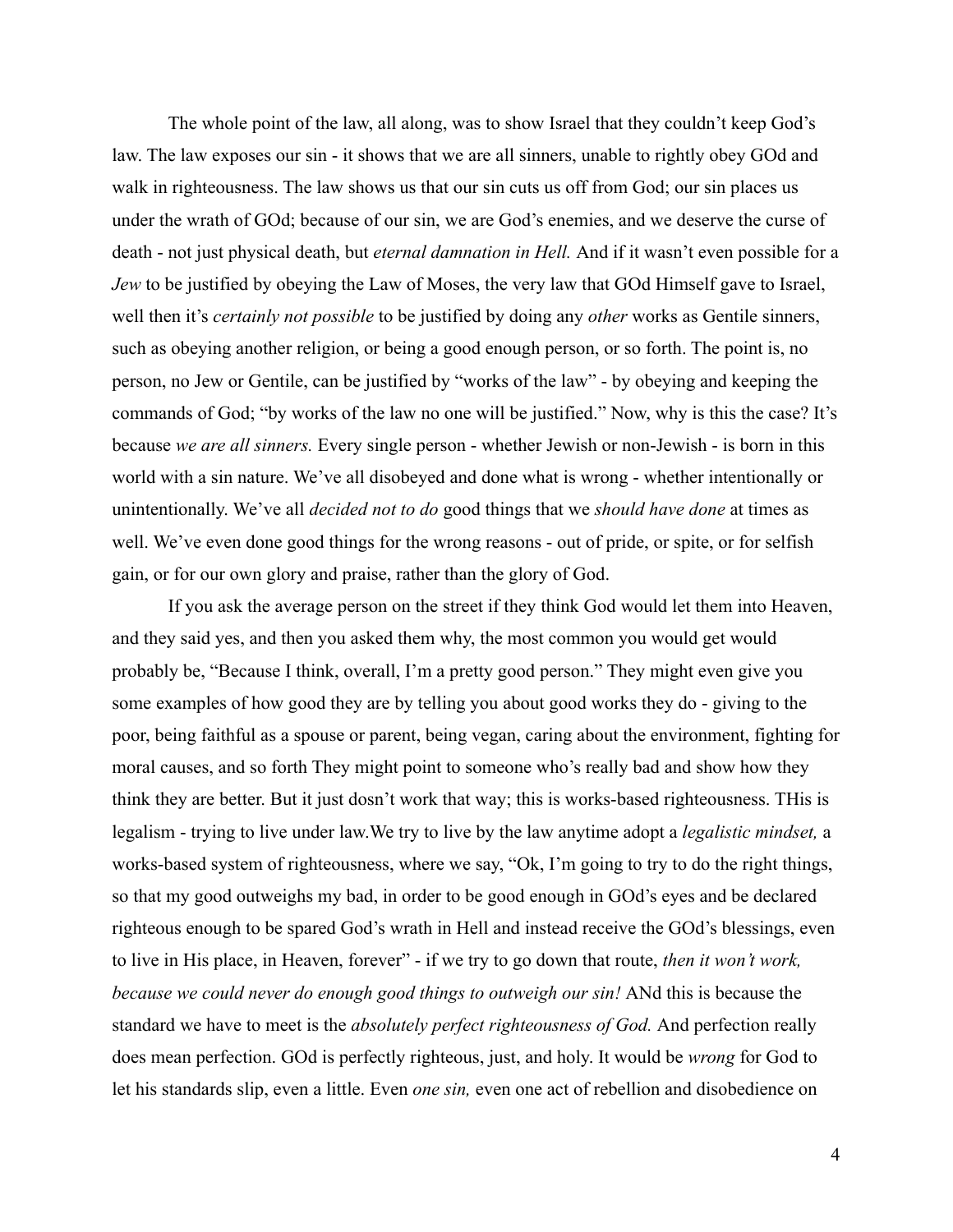The whole point of the law, all along, was to show Israel that they couldn't keep God's law. The law exposes our sin - it shows that we are all sinners, unable to rightly obey GOd and walk in righteousness. The law shows us that our sin cuts us off from God; our sin places us under the wrath of GOd; because of our sin, we are God's enemies, and we deserve the curse of death - not just physical death, but *eternal damnation in Hell.* And if it wasn't even possible for a *Jew* to be justified by obeying the Law of Moses, the very law that GOd Himself gave to Israel, well then it's *certainly not possible* to be justified by doing any *other* works as Gentile sinners, such as obeying another religion, or being a good enough person, or so forth. The point is, no person, no Jew or Gentile, can be justified by "works of the law" - by obeying and keeping the commands of God; "by works of the law no one will be justified." Now, why is this the case? It's because *we are all sinners.* Every single person - whether Jewish or non-Jewish - is born in this world with a sin nature. We've all disobeyed and done what is wrong - whether intentionally or unintentionally. We've all *decided not to do* good things that we *should have done* at times as well. We've even done good things for the wrong reasons - out of pride, or spite, or for selfish gain, or for our own glory and praise, rather than the glory of God.

If you ask the average person on the street if they think God would let them into Heaven, and they said yes, and then you asked them why, the most common you would get would probably be, "Because I think, overall, I'm a pretty good person." They might even give you some examples of how good they are by telling you about good works they do - giving to the poor, being faithful as a spouse or parent, being vegan, caring about the environment, fighting for moral causes, and so forth They might point to someone who's really bad and show how they think they are better. But it just dosn't work that way; this is works-based righteousness. THis is legalism - trying to live under law.We try to live by the law anytime adopt a *legalistic mindset,* a works-based system of righteousness, where we say, "Ok, I'm going to try to do the right things, so that my good outweighs my bad, in order to be good enough in GOd's eyes and be declared righteous enough to be spared God's wrath in Hell and instead receive the GOd's blessings, even to live in His place, in Heaven, forever" - if we try to go down that route, *then it won't work, because we could never do enough good things to outweigh our sin!* ANd this is because the standard we have to meet is the *absolutely perfect righteousness of God.* And perfection really does mean perfection. GOd is perfectly righteous, just, and holy. It would be *wrong* for God to let his standards slip, even a little. Even *one sin,* even one act of rebellion and disobedience on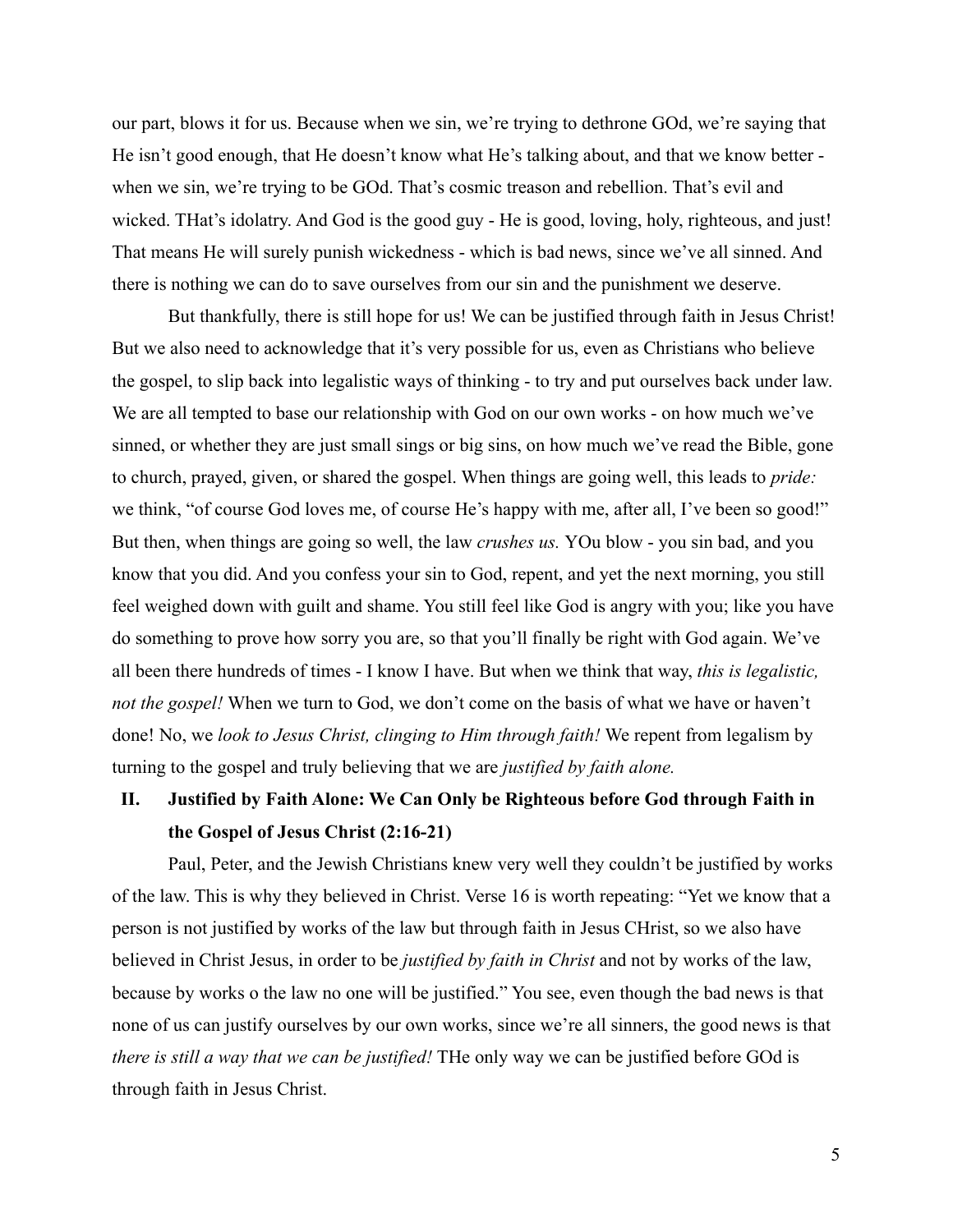our part, blows it for us. Because when we sin, we're trying to dethrone GOd, we're saying that He isn't good enough, that He doesn't know what He's talking about, and that we know better when we sin, we're trying to be GOd. That's cosmic treason and rebellion. That's evil and wicked. THat's idolatry. And God is the good guy - He is good, loving, holy, righteous, and just! That means He will surely punish wickedness - which is bad news, since we've all sinned. And there is nothing we can do to save ourselves from our sin and the punishment we deserve.

But thankfully, there is still hope for us! We can be justified through faith in Jesus Christ! But we also need to acknowledge that it's very possible for us, even as Christians who believe the gospel, to slip back into legalistic ways of thinking - to try and put ourselves back under law. We are all tempted to base our relationship with God on our own works - on how much we've sinned, or whether they are just small sings or big sins, on how much we've read the Bible, gone to church, prayed, given, or shared the gospel. When things are going well, this leads to *pride:* we think, "of course God loves me, of course He's happy with me, after all, I've been so good!" But then, when things are going so well, the law *crushes us.* YOu blow - you sin bad, and you know that you did. And you confess your sin to God, repent, and yet the next morning, you still feel weighed down with guilt and shame. You still feel like God is angry with you; like you have do something to prove how sorry you are, so that you'll finally be right with God again. We've all been there hundreds of times - I know I have. But when we think that way, *this is legalistic, not the gospel!* When we turn to God, we don't come on the basis of what we have or haven't done! No, we *look to Jesus Christ, clinging to Him through faith!* We repent from legalism by turning to the gospel and truly believing that we are *justified by faith alone.*

## **II. Justified by Faith Alone: We Can Only be Righteous before God through Faith in the Gospel of Jesus Christ (2:16-21)**

Paul, Peter, and the Jewish Christians knew very well they couldn't be justified by works of the law. This is why they believed in Christ. Verse 16 is worth repeating: "Yet we know that a person is not justified by works of the law but through faith in Jesus CHrist, so we also have believed in Christ Jesus, in order to be *justified by faith in Christ* and not by works of the law, because by works o the law no one will be justified." You see, even though the bad news is that none of us can justify ourselves by our own works, since we're all sinners, the good news is that *there is still a way that we can be justified!* THe only way we can be justified before GOd is through faith in Jesus Christ.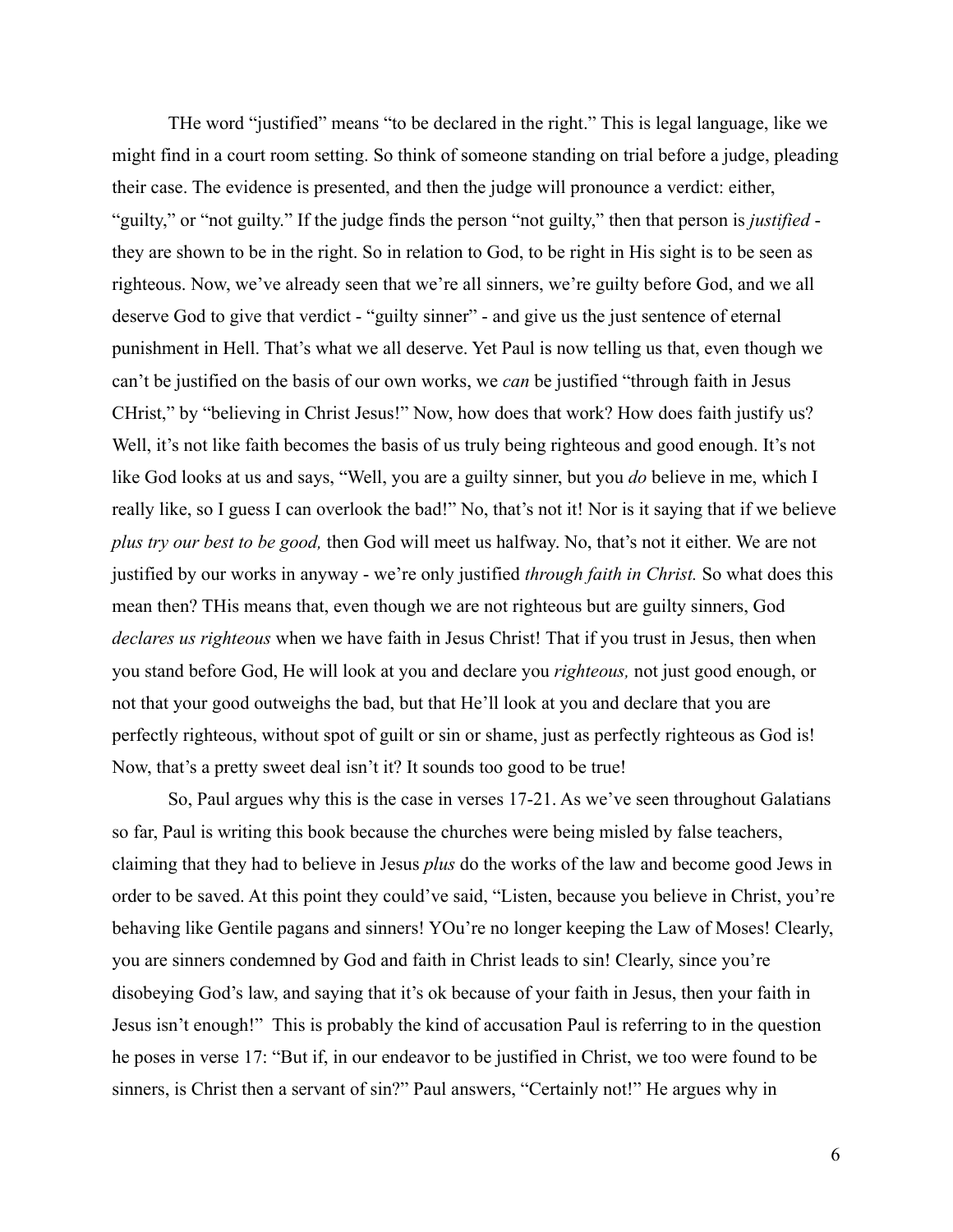THe word "justified" means "to be declared in the right." This is legal language, like we might find in a court room setting. So think of someone standing on trial before a judge, pleading their case. The evidence is presented, and then the judge will pronounce a verdict: either, "guilty," or "not guilty." If the judge finds the person "not guilty," then that person is *justified* they are shown to be in the right. So in relation to God, to be right in His sight is to be seen as righteous. Now, we've already seen that we're all sinners, we're guilty before God, and we all deserve God to give that verdict - "guilty sinner" - and give us the just sentence of eternal punishment in Hell. That's what we all deserve. Yet Paul is now telling us that, even though we can't be justified on the basis of our own works, we *can* be justified "through faith in Jesus CHrist," by "believing in Christ Jesus!" Now, how does that work? How does faith justify us? Well, it's not like faith becomes the basis of us truly being righteous and good enough. It's not like God looks at us and says, "Well, you are a guilty sinner, but you *do* believe in me, which I really like, so I guess I can overlook the bad!" No, that's not it! Nor is it saying that if we believe *plus try our best to be good,* then God will meet us halfway. No, that's not it either. We are not justified by our works in anyway - we're only justified *through faith in Christ.* So what does this mean then? THis means that, even though we are not righteous but are guilty sinners, God *declares us righteous* when we have faith in Jesus Christ! That if you trust in Jesus, then when you stand before God, He will look at you and declare you *righteous,* not just good enough, or not that your good outweighs the bad, but that He'll look at you and declare that you are perfectly righteous, without spot of guilt or sin or shame, just as perfectly righteous as God is! Now, that's a pretty sweet deal isn't it? It sounds too good to be true!

So, Paul argues why this is the case in verses 17-21. As we've seen throughout Galatians so far, Paul is writing this book because the churches were being misled by false teachers, claiming that they had to believe in Jesus *plus* do the works of the law and become good Jews in order to be saved. At this point they could've said, "Listen, because you believe in Christ, you're behaving like Gentile pagans and sinners! YOu're no longer keeping the Law of Moses! Clearly, you are sinners condemned by God and faith in Christ leads to sin! Clearly, since you're disobeying God's law, and saying that it's ok because of your faith in Jesus, then your faith in Jesus isn't enough!" This is probably the kind of accusation Paul is referring to in the question he poses in verse 17: "But if, in our endeavor to be justified in Christ, we too were found to be sinners, is Christ then a servant of sin?" Paul answers, "Certainly not!" He argues why in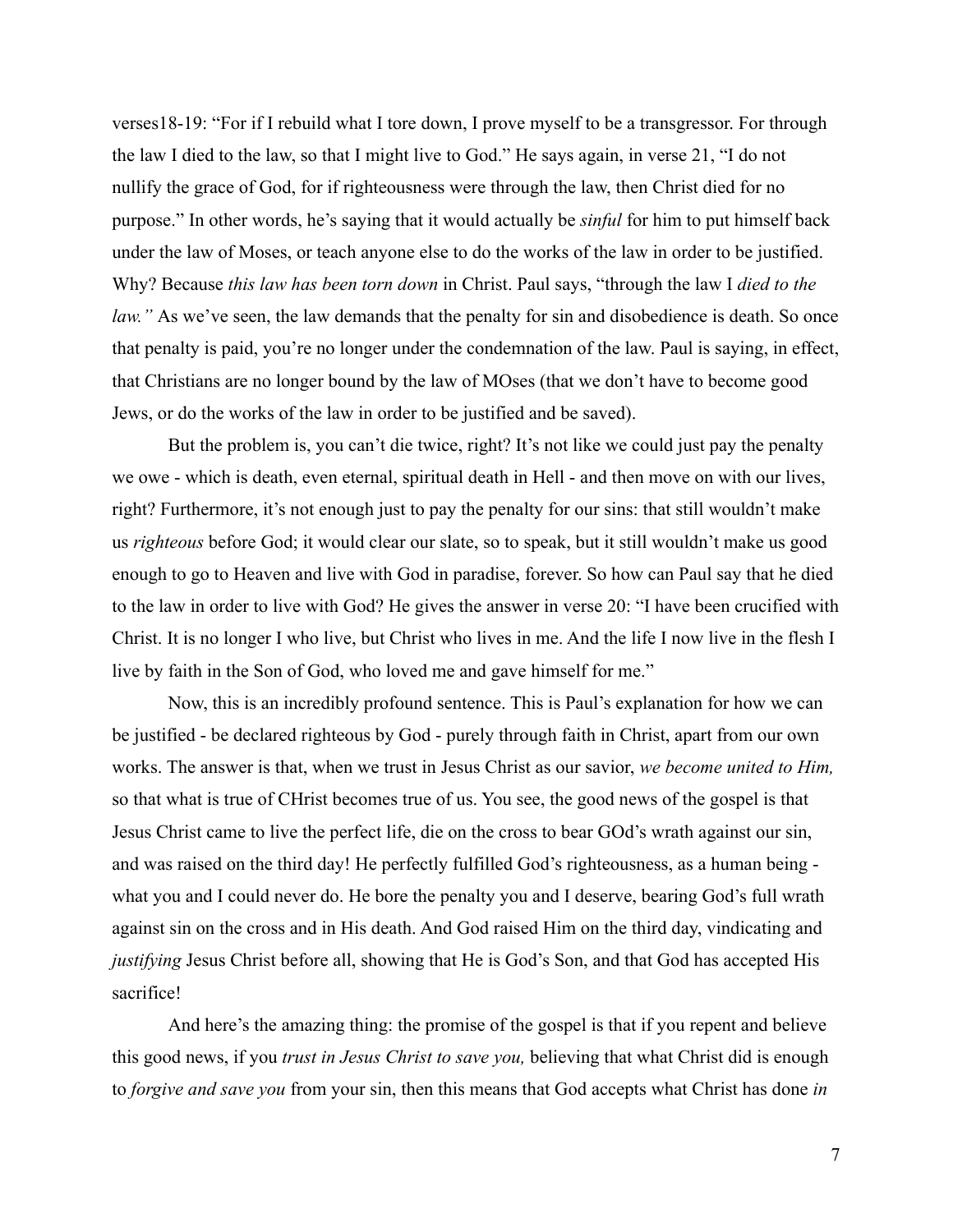verses18-19: "For if I rebuild what I tore down, I prove myself to be a transgressor. For through the law I died to the law, so that I might live to God." He says again, in verse 21, "I do not nullify the grace of God, for if righteousness were through the law, then Christ died for no purpose." In other words, he's saying that it would actually be *sinful* for him to put himself back under the law of Moses, or teach anyone else to do the works of the law in order to be justified. Why? Because *this law has been torn down* in Christ. Paul says, "through the law I *died to the law.*" As we've seen, the law demands that the penalty for sin and disobedience is death. So once that penalty is paid, you're no longer under the condemnation of the law. Paul is saying, in effect, that Christians are no longer bound by the law of MOses (that we don't have to become good Jews, or do the works of the law in order to be justified and be saved).

But the problem is, you can't die twice, right? It's not like we could just pay the penalty we owe - which is death, even eternal, spiritual death in Hell - and then move on with our lives, right? Furthermore, it's not enough just to pay the penalty for our sins: that still wouldn't make us *righteous* before God; it would clear our slate, so to speak, but it still wouldn't make us good enough to go to Heaven and live with God in paradise, forever. So how can Paul say that he died to the law in order to live with God? He gives the answer in verse 20: "I have been crucified with Christ. It is no longer I who live, but Christ who lives in me. And the life I now live in the flesh I live by faith in the Son of God, who loved me and gave himself for me."

Now, this is an incredibly profound sentence. This is Paul's explanation for how we can be justified - be declared righteous by God - purely through faith in Christ, apart from our own works. The answer is that, when we trust in Jesus Christ as our savior, *we become united to Him,* so that what is true of CHrist becomes true of us. You see, the good news of the gospel is that Jesus Christ came to live the perfect life, die on the cross to bear GOd's wrath against our sin, and was raised on the third day! He perfectly fulfilled God's righteousness, as a human being what you and I could never do. He bore the penalty you and I deserve, bearing God's full wrath against sin on the cross and in His death. And God raised Him on the third day, vindicating and *justifying* Jesus Christ before all, showing that He is God's Son, and that God has accepted His sacrifice!

And here's the amazing thing: the promise of the gospel is that if you repent and believe this good news, if you *trust in Jesus Christ to save you,* believing that what Christ did is enough to *forgive and save you* from your sin, then this means that God accepts what Christ has done *in*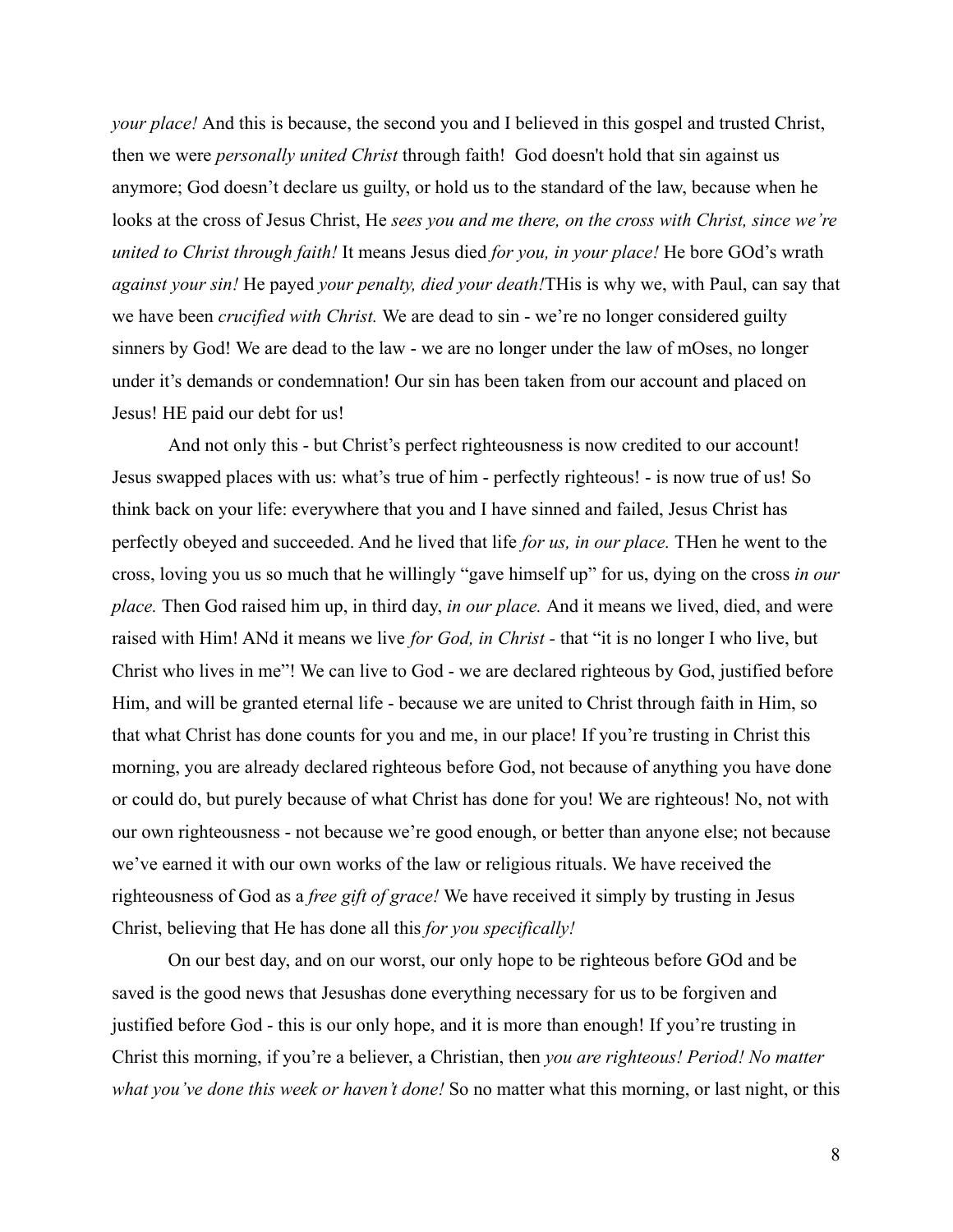*your place!* And this is because, the second you and I believed in this gospel and trusted Christ, then we were *personally united Christ* through faith! God doesn't hold that sin against us anymore; God doesn't declare us guilty, or hold us to the standard of the law, because when he looks at the cross of Jesus Christ, He *sees you and me there, on the cross with Christ, since we're united to Christ through faith!* It means Jesus died *for you, in your place!* He bore GOd's wrath *against your sin!* He payed *your penalty, died your death!*THis is why we, with Paul, can say that we have been *crucified with Christ.* We are dead to sin - we're no longer considered guilty sinners by God! We are dead to the law - we are no longer under the law of mOses, no longer under it's demands or condemnation! Our sin has been taken from our account and placed on Jesus! HE paid our debt for us!

And not only this - but Christ's perfect righteousness is now credited to our account! Jesus swapped places with us: what's true of him - perfectly righteous! - is now true of us! So think back on your life: everywhere that you and I have sinned and failed, Jesus Christ has perfectly obeyed and succeeded. And he lived that life *for us, in our place.* THen he went to the cross, loving you us so much that he willingly "gave himself up" for us, dying on the cross *in our place.* Then God raised him up, in third day, *in our place.* And it means we lived, died, and were raised with Him! ANd it means we live *for God, in Christ -* that "it is no longer I who live, but Christ who lives in me"! We can live to God - we are declared righteous by God, justified before Him, and will be granted eternal life - because we are united to Christ through faith in Him, so that what Christ has done counts for you and me, in our place! If you're trusting in Christ this morning, you are already declared righteous before God, not because of anything you have done or could do, but purely because of what Christ has done for you! We are righteous! No, not with our own righteousness - not because we're good enough, or better than anyone else; not because we've earned it with our own works of the law or religious rituals. We have received the righteousness of God as a *free gift of grace!* We have received it simply by trusting in Jesus Christ, believing that He has done all this *for you specifically!*

On our best day, and on our worst, our only hope to be righteous before GOd and be saved is the good news that Jesushas done everything necessary for us to be forgiven and justified before God - this is our only hope, and it is more than enough! If you're trusting in Christ this morning, if you're a believer, a Christian, then *you are righteous! Period! No matter what you've done this week or haven't done!* So no matter what this morning, or last night, or this